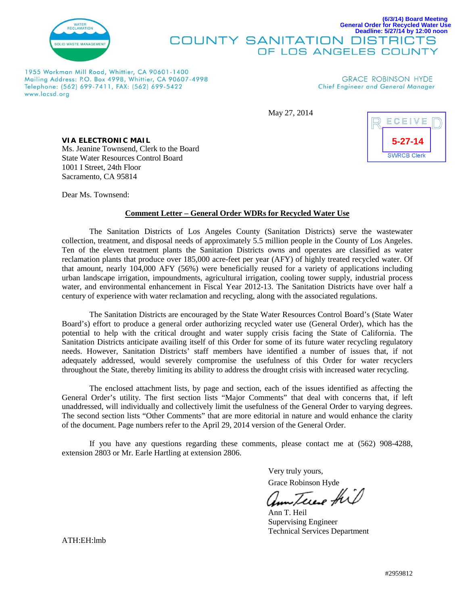

#### **(6/3/14) Board Meeting General Order for Recycled Water Use Deadline: 5/27/14 by 12:00 noon COUNTY SANITATION DISTRICTS** OF LOS ANGELES COUNTY

1955 Workman Mill Road, Whittier, CA 90601-1400 Mailing Address: P.O. Box 4998, Whittier, CA 90607-4998 Telephone: (562) 699-7411, FAX: (562) 699-5422 www.lacsd.org

**GRACE ROBINSON HYDE** Chief Engineer and General Manager

May 27, 2014



*VIA ELECTRONIC MAIL* Ms. Jeanine Townsend, Clerk to the Board State Water Resources Control Board 1001 I Street, 24th Floor Sacramento, CA 95814

Dear Ms. Townsend:

#### **Comment Letter – General Order WDRs for Recycled Water Use**

The Sanitation Districts of Los Angeles County (Sanitation Districts) serve the wastewater collection, treatment, and disposal needs of approximately 5.5 million people in the County of Los Angeles. Ten of the eleven treatment plants the Sanitation Districts owns and operates are classified as water reclamation plants that produce over 185,000 acre-feet per year (AFY) of highly treated recycled water. Of that amount, nearly 104,000 AFY (56%) were beneficially reused for a variety of applications including urban landscape irrigation, impoundments, agricultural irrigation, cooling tower supply, industrial process water, and environmental enhancement in Fiscal Year 2012-13. The Sanitation Districts have over half a century of experience with water reclamation and recycling, along with the associated regulations.

The Sanitation Districts are encouraged by the State Water Resources Control Board's (State Water Board's) effort to produce a general order authorizing recycled water use (General Order), which has the potential to help with the critical drought and water supply crisis facing the State of California. The Sanitation Districts anticipate availing itself of this Order for some of its future water recycling regulatory needs. However, Sanitation Districts' staff members have identified a number of issues that, if not adequately addressed, would severely compromise the usefulness of this Order for water recyclers throughout the State, thereby limiting its ability to address the drought crisis with increased water recycling.

The enclosed attachment lists, by page and section, each of the issues identified as affecting the General Order's utility. The first section lists "Major Comments" that deal with concerns that, if left unaddressed, will individually and collectively limit the usefulness of the General Order to varying degrees. The second section lists "Other Comments" that are more editorial in nature and would enhance the clarity of the document. Page numbers refer to the April 29, 2014 version of the General Order.

If you have any questions regarding these comments, please contact me at (562) 908-4288, extension 2803 or Mr. Earle Hartling at extension 2806.

> Very truly yours, Grace Robinson Hyde

Am Terese this

Ann T. Heil Supervising Engineer Technical Services Department

ATH:EH:lmb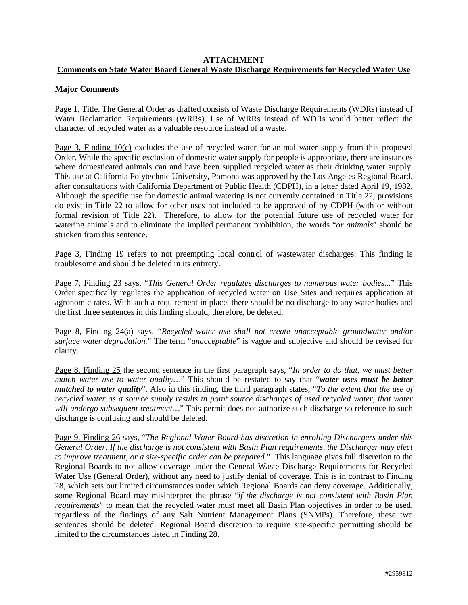# **ATTACHMENT Comments on State Water Board General Waste Discharge Requirements for Recycled Water Use**

# **Major Comments**

Page 1, Title. The General Order as drafted consists of Waste Discharge Requirements (WDRs) instead of Water Reclamation Requirements (WRRs). Use of WRRs instead of WDRs would better reflect the character of recycled water as a valuable resource instead of a waste.

Page 3, Finding 10(c) excludes the use of recycled water for animal water supply from this proposed Order. While the specific exclusion of domestic water supply for people is appropriate, there are instances where domesticated animals can and have been supplied recycled water as their drinking water supply. This use at California Polytechnic University, Pomona was approved by the Los Angeles Regional Board, after consultations with California Department of Public Health (CDPH), in a letter dated April 19, 1982. Although the specific use for domestic animal watering is not currently contained in Title 22, provisions do exist in Title 22 to allow for other uses not included to be approved of by CDPH (with or without formal revision of Title 22). Therefore, to allow for the potential future use of recycled water for watering animals and to eliminate the implied permanent prohibition, the words "*or animals*" should be stricken from this sentence.

Page 3, Finding 19 refers to not preempting local control of wastewater discharges. This finding is troublesome and should be deleted in its entirety.

Page 7, Finding 23 says, "*This General Order regulates discharges to numerous water bodies...*" This Order specifically regulates the application of recycled water on Use Sites and requires application at agronomic rates. With such a requirement in place, there should be no discharge to any water bodies and the first three sentences in this finding should, therefore, be deleted.

Page 8, Finding 24(a) says, "*Recycled water use shall not create unacceptable groundwater and/or surface water degradation.*" The term "*unacceptable*" is vague and subjective and should be revised for clarity.

Page 8, Finding 25 the second sentence in the first paragraph says, "*In order to do that, we must better match water use to water quality…*" This should be restated to say that "*water uses must be better matched to water quality*". Also in this finding, the third paragraph states, "*To the extent that the use of recycled water as a source supply results in point source discharges of used recycled water, that water will undergo subsequent treatment…*" This permit does not authorize such discharge so reference to such discharge is confusing and should be deleted.

Page 9, Finding 26 says, "*The Regional Water Board has discretion in enrolling Dischargers under this General Order. If the discharge is not consistent with Basin Plan requirements, the Discharger may elect to improve treatment, or a site-specific order can be prepared.*" This language gives full discretion to the Regional Boards to not allow coverage under the General Waste Discharge Requirements for Recycled Water Use (General Order), without any need to justify denial of coverage. This is in contrast to Finding 28, which sets out limited circumstances under which Regional Boards can deny coverage. Additionally, some Regional Board may misinterpret the phrase "*if the discharge is not consistent with Basin Plan requirements*" to mean that the recycled water must meet all Basin Plan objectives in order to be used, regardless of the findings of any Salt Nutrient Management Plans (SNMPs). Therefore, these two sentences should be deleted. Regional Board discretion to require site-specific permitting should be limited to the circumstances listed in Finding 28.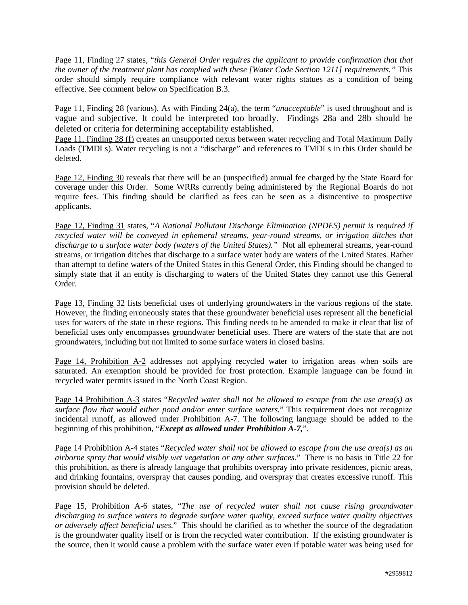Page 11, Finding 27 states, "*this General Order requires the applicant to provide confirmation that that the owner of the treatment plant has complied with these [Water Code Section 1211] requirements."* This order should simply require compliance with relevant water rights statues as a condition of being effective. See comment below on Specification B.3.

Page 11, Finding 28 (various). As with Finding 24(a), the term "*unacceptable*" is used throughout and is vague and subjective. It could be interpreted too broadly. Findings 28a and 28b should be deleted or criteria for determining acceptability established.

Page 11, Finding 28 (f) creates an unsupported nexus between water recycling and Total Maximum Daily Loads (TMDLs). Water recycling is not a "discharge" and references to TMDLs in this Order should be deleted.

Page 12, Finding 30 reveals that there will be an (unspecified) annual fee charged by the State Board for coverage under this Order. Some WRRs currently being administered by the Regional Boards do not require fees. This finding should be clarified as fees can be seen as a disincentive to prospective applicants.

Page 12, Finding 31 states, "*A National Pollutant Discharge Elimination (NPDES) permit is required if recycled water will be conveyed in ephemeral streams, year-round streams, or irrigation ditches that discharge to a surface water body (waters of the United States)."* Not all ephemeral streams, year-round streams, or irrigation ditches that discharge to a surface water body are waters of the United States. Rather than attempt to define waters of the United States in this General Order, this Finding should be changed to simply state that if an entity is discharging to waters of the United States they cannot use this General Order.

Page 13, Finding 32 lists beneficial uses of underlying groundwaters in the various regions of the state. However, the finding erroneously states that these groundwater beneficial uses represent all the beneficial uses for waters of the state in these regions. This finding needs to be amended to make it clear that list of beneficial uses only encompasses groundwater beneficial uses. There are waters of the state that are not groundwaters, including but not limited to some surface waters in closed basins.

Page 14, Prohibition A-2 addresses not applying recycled water to irrigation areas when soils are saturated. An exemption should be provided for frost protection. Example language can be found in recycled water permits issued in the North Coast Region.

Page 14 Prohibition A-3 states "*Recycled water shall not be allowed to escape from the use area(s) as surface flow that would either pond and/or enter surface waters.*" This requirement does not recognize incidental runoff, as allowed under Prohibition A-7. The following language should be added to the beginning of this prohibition, "*Except as allowed under Prohibition A-7,*".

Page 14 Prohibition A-4 states "*Recycled water shall not be allowed to escape from the use area(s) as an airborne spray that would visibly wet vegetation or any other surfaces.*" There is no basis in Title 22 for this prohibition, as there is already language that prohibits overspray into private residences, picnic areas, and drinking fountains, overspray that causes ponding, and overspray that creates excessive runoff. This provision should be deleted.

Page 15, Prohibition A-6 states, "*The use of recycled water shall not cause rising groundwater discharging to surface waters to degrade surface water quality, exceed surface water quality objectives or adversely affect beneficial uses.*" This should be clarified as to whether the source of the degradation is the groundwater quality itself or is from the recycled water contribution. If the existing groundwater is the source, then it would cause a problem with the surface water even if potable water was being used for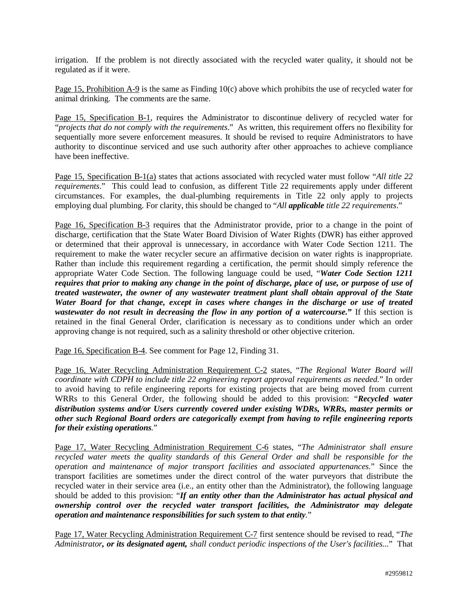irrigation. If the problem is not directly associated with the recycled water quality, it should not be regulated as if it were.

Page 15, Prohibition A-9 is the same as Finding 10(c) above which prohibits the use of recycled water for animal drinking. The comments are the same.

Page 15, Specification B-1, requires the Administrator to discontinue delivery of recycled water for "*projects that do not comply with the requirements*." As written, this requirement offers no flexibility for sequentially more severe enforcement measures. It should be revised to require Administrators to have authority to discontinue serviced and use such authority after other approaches to achieve compliance have been ineffective.

Page 15, Specification B-1(a) states that actions associated with recycled water must follow "*All title 22 requirements*." This could lead to confusion, as different Title 22 requirements apply under different circumstances. For examples, the dual-plumbing requirements in Title 22 only apply to projects employing dual plumbing. For clarity, this should be changed to "*All applicable title 22 requirements*."

Page 16, Specification B-3 requires that the Administrator provide, prior to a change in the point of discharge, certification that the State Water Board Division of Water Rights (DWR) has either approved or determined that their approval is unnecessary, in accordance with Water Code Section 1211. The requirement to make the water recycler secure an affirmative decision on water rights is inappropriate. Rather than include this requirement regarding a certification, the permit should simply reference the appropriate Water Code Section. The following language could be used, "*Water Code Section 1211 requires that prior to making any change in the point of discharge, place of use, or purpose of use of treated wastewater, the owner of any wastewater treatment plant shall obtain approval of the State Water Board for that change, except in cases where changes in the discharge or use of treated wastewater do not result in decreasing the flow in any portion of a watercourse.***"** If this section is retained in the final General Order, clarification is necessary as to conditions under which an order approving change is not required, such as a salinity threshold or other objective criterion.

Page 16, Specification B-4. See comment for Page 12, Finding 31.

Page 16, Water Recycling Administration Requirement C-2 states, "*The Regional Water Board will coordinate with CDPH to include title 22 engineering report approval requirements as needed.*" In order to avoid having to refile engineering reports for existing projects that are being moved from current WRRs to this General Order, the following should be added to this provision: "*Recycled water distribution systems and/or Users currently covered under existing WDRs, WRRs, master permits or other such Regional Board orders are categorically exempt from having to refile engineering reports for their existing operations.*"

Page 17, Water Recycling Administration Requirement C-6 states, "*The Administrator shall ensure recycled water meets the quality standards of this General Order and shall be responsible for the operation and maintenance of major transport facilities and associated appurtenances.*" Since the transport facilities are sometimes under the direct control of the water purveyors that distribute the recycled water in their service area (i.e., an entity other than the Administrator), the following language should be added to this provision: "*If an entity other than the Administrator has actual physical and ownership control over the recycled water transport facilities, the Administrator may delegate operation and maintenance responsibilities for such system to that entity.*"

Page 17, Water Recycling Administration Requirement C-7 first sentence should be revised to read, "*The Administrator, or its designated agent, shall conduct periodic inspections of the User's facilities...*" That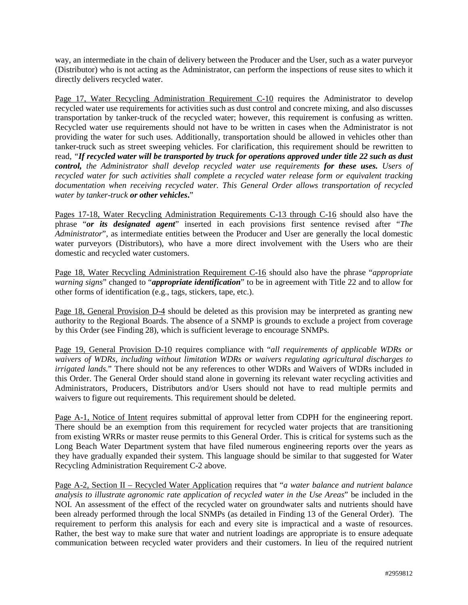way, an intermediate in the chain of delivery between the Producer and the User, such as a water purveyor (Distributor) who is not acting as the Administrator, can perform the inspections of reuse sites to which it directly delivers recycled water.

Page 17, Water Recycling Administration Requirement C-10 requires the Administrator to develop recycled water use requirements for activities such as dust control and concrete mixing, and also discusses transportation by tanker-truck of the recycled water; however, this requirement is confusing as written. Recycled water use requirements should not have to be written in cases when the Administrator is not providing the water for such uses. Additionally, transportation should be allowed in vehicles other than tanker-truck such as street sweeping vehicles. For clarification, this requirement should be rewritten to read, *"If recycled water will be transported by truck for operations approved under title 22 such as dust control, the Administrator shall develop recycled water use requirements for these uses. Users of recycled water for such activities shall complete a recycled water release form or equivalent tracking documentation when receiving recycled water. This General Order allows transportation of recycled water by tanker-truck or other vehicles***.**"

Pages 17-18, Water Recycling Administration Requirements C-13 through C-16 should also have the phrase "*or its designated agent*" inserted in each provisions first sentence revised after "*The Administrator*", as intermediate entities between the Producer and User are generally the local domestic water purveyors (Distributors), who have a more direct involvement with the Users who are their domestic and recycled water customers.

Page 18, Water Recycling Administration Requirement C-16 should also have the phrase "*appropriate warning signs*" changed to "*appropriate identification*" to be in agreement with Title 22 and to allow for other forms of identification (e.g., tags, stickers, tape, etc.).

Page 18, General Provision D-4 should be deleted as this provision may be interpreted as granting new authority to the Regional Boards. The absence of a SNMP is grounds to exclude a project from coverage by this Order (see Finding 28), which is sufficient leverage to encourage SNMPs.

Page 19, General Provision D-10 requires compliance with "*all requirements of applicable WDRs or waivers of WDRs, including without limitation WDRs or waivers regulating agricultural discharges to irrigated lands.*" There should not be any references to other WDRs and Waivers of WDRs included in this Order. The General Order should stand alone in governing its relevant water recycling activities and Administrators, Producers, Distributors and/or Users should not have to read multiple permits and waivers to figure out requirements. This requirement should be deleted.

Page A-1, Notice of Intent requires submittal of approval letter from CDPH for the engineering report. There should be an exemption from this requirement for recycled water projects that are transitioning from existing WRRs or master reuse permits to this General Order. This is critical for systems such as the Long Beach Water Department system that have filed numerous engineering reports over the years as they have gradually expanded their system. This language should be similar to that suggested for Water Recycling Administration Requirement C-2 above.

Page A-2, Section II – Recycled Water Application requires that "*a water balance and nutrient balance analysis to illustrate agronomic rate application of recycled water in the Use Areas*" be included in the NOI. An assessment of the effect of the recycled water on groundwater salts and nutrients should have been already performed through the local SNMPs (as detailed in Finding 13 of the General Order). The requirement to perform this analysis for each and every site is impractical and a waste of resources. Rather, the best way to make sure that water and nutrient loadings are appropriate is to ensure adequate communication between recycled water providers and their customers. In lieu of the required nutrient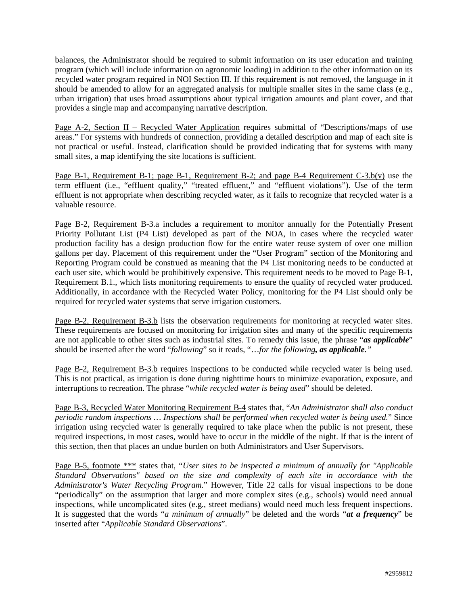balances, the Administrator should be required to submit information on its user education and training program (which will include information on agronomic loading) in addition to the other information on its recycled water program required in NOI Section III. If this requirement is not removed, the language in it should be amended to allow for an aggregated analysis for multiple smaller sites in the same class (e.g., urban irrigation) that uses broad assumptions about typical irrigation amounts and plant cover, and that provides a single map and accompanying narrative description.

Page A-2, Section II – Recycled Water Application requires submittal of "Descriptions/maps of use areas." For systems with hundreds of connection, providing a detailed description and map of each site is not practical or useful. Instead, clarification should be provided indicating that for systems with many small sites, a map identifying the site locations is sufficient.

Page B-1, Requirement B-1; page B-1, Requirement B-2; and page B-4 Requirement C-3.b(v) use the term effluent (i.e., "effluent quality," "treated effluent," and "effluent violations"). Use of the term effluent is not appropriate when describing recycled water, as it fails to recognize that recycled water is a valuable resource.

Page B-2, Requirement B-3.a includes a requirement to monitor annually for the Potentially Present Priority Pollutant List (P4 List) developed as part of the NOA, in cases where the recycled water production facility has a design production flow for the entire water reuse system of over one million gallons per day. Placement of this requirement under the "User Program" section of the Monitoring and Reporting Program could be construed as meaning that the P4 List monitoring needs to be conducted at each user site, which would be prohibitively expensive. This requirement needs to be moved to Page B-1, Requirement B.1., which lists monitoring requirements to ensure the quality of recycled water produced. Additionally, in accordance with the Recycled Water Policy, monitoring for the P4 List should only be required for recycled water systems that serve irrigation customers.

Page B-2, Requirement B-3.b lists the observation requirements for monitoring at recycled water sites. These requirements are focused on monitoring for irrigation sites and many of the specific requirements are not applicable to other sites such as industrial sites. To remedy this issue, the phrase "*as applicable*" should be inserted after the word "*following*" so it reads, "…*for the following, as applicable."*

Page B-2, Requirement B-3.b requires inspections to be conducted while recycled water is being used. This is not practical, as irrigation is done during nighttime hours to minimize evaporation, exposure, and interruptions to recreation. The phrase "*while recycled water is being used*" should be deleted.

Page B-3, Recycled Water Monitoring Requirement B-4 states that, "*An Administrator shall also conduct periodic random inspections … Inspections shall be performed when recycled water is being used.*" Since irrigation using recycled water is generally required to take place when the public is not present, these required inspections, in most cases, would have to occur in the middle of the night. If that is the intent of this section, then that places an undue burden on both Administrators and User Supervisors.

Page B-5, footnote \*\*\* states that, "*User sites to be inspected a minimum of annually for "Applicable Standard Observations" based on the size and complexity of each site in accordance with the Administrator's Water Recycling Program.*" However, Title 22 calls for visual inspections to be done "periodically" on the assumption that larger and more complex sites (e.g., schools) would need annual inspections, while uncomplicated sites (e.g., street medians) would need much less frequent inspections. It is suggested that the words "*a minimum of annually*" be deleted and the words "*at a frequency*" be inserted after "*Applicable Standard Observations*".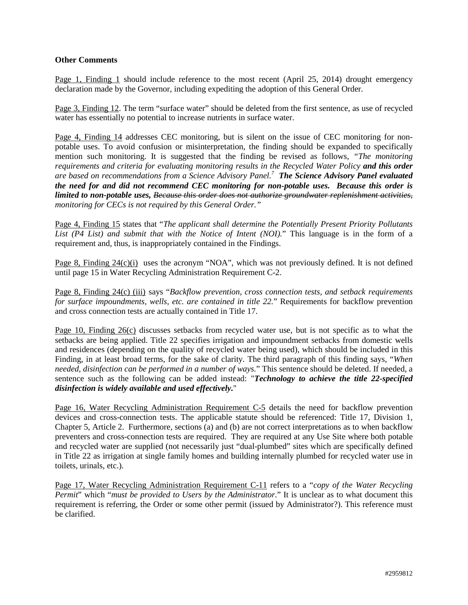### **Other Comments**

Page 1, Finding 1 should include reference to the most recent (April 25, 2014) drought emergency declaration made by the Governor, including expediting the adoption of this General Order.

Page 3, Finding 12. The term "surface water" should be deleted from the first sentence, as use of recycled water has essentially no potential to increase nutrients in surface water.

Page 4, Finding 14 addresses CEC monitoring, but is silent on the issue of CEC monitoring for nonpotable uses. To avoid confusion or misinterpretation, the finding should be expanded to specifically mention such monitoring. It is suggested that the finding be revised as follows, *"The monitoring requirements and criteria for evaluating monitoring results in the Recycled Water Policy and this order are based on recommendations from a Science Advisory Panel.7 The Science Advisory Panel evaluated the need for and did not recommend CEC monitoring for non-potable uses. Because this order is limited to non-potable uses, Because this order does not authorize groundwater replenishment activities, monitoring for CECs is not required by this General Order."*

Page 4, Finding 15 states that "*The applicant shall determine the Potentially Present Priority Pollutants List (P4 List) and submit that with the Notice of Intent (NOI).*" This language is in the form of a requirement and, thus, is inappropriately contained in the Findings.

Page 8, Finding 24(c)(i) uses the acronym "NOA", which was not previously defined. It is not defined until page 15 in Water Recycling Administration Requirement C-2.

Page 8, Finding 24(c) (iii) says "*Backflow prevention, cross connection tests, and setback requirements for surface impoundments, wells, etc. are contained in title 22.*" Requirements for backflow prevention and cross connection tests are actually contained in Title 17.

Page 10, Finding 26(c) discusses setbacks from recycled water use, but is not specific as to what the setbacks are being applied. Title 22 specifies irrigation and impoundment setbacks from domestic wells and residences (depending on the quality of recycled water being used), which should be included in this Finding, in at least broad terms, for the sake of clarity. The third paragraph of this finding says, "*When needed, disinfection can be performed in a number of ways.*" This sentence should be deleted. If needed, a sentence such as the following can be added instead: "*Technology to achieve the title 22-specified disinfection is widely available and used effectively.*"

Page 16, Water Recycling Administration Requirement C-5 details the need for backflow prevention devices and cross-connection tests. The applicable statute should be referenced: Title 17, Division 1, Chapter 5, Article 2. Furthermore, sections (a) and (b) are not correct interpretations as to when backflow preventers and cross-connection tests are required. They are required at any Use Site where both potable and recycled water are supplied (not necessarily just "dual-plumbed" sites which are specifically defined in Title 22 as irrigation at single family homes and building internally plumbed for recycled water use in toilets, urinals, etc.).

Page 17, Water Recycling Administration Requirement C-11 refers to a "*copy of the Water Recycling Permit*" which "*must be provided to Users by the Administrator*." It is unclear as to what document this requirement is referring, the Order or some other permit (issued by Administrator?). This reference must be clarified.